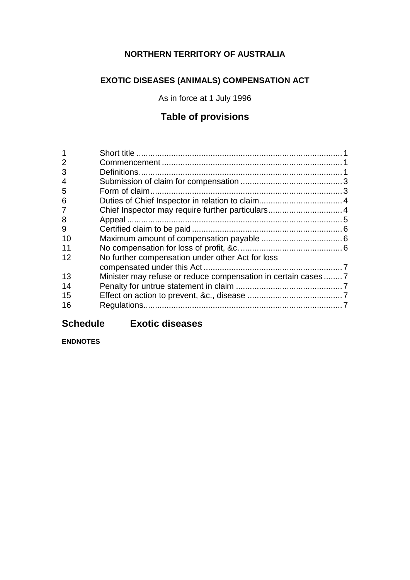# **NORTHERN TERRITORY OF AUSTRALIA**

# **EXOTIC DISEASES (ANIMALS) COMPENSATION ACT**

As in force at 1 July 1996

# **Table of provisions**

| $\overline{2}$ |                                                             |  |
|----------------|-------------------------------------------------------------|--|
| 3              |                                                             |  |
| 4              |                                                             |  |
| 5              |                                                             |  |
| 6              |                                                             |  |
| 7              | Chief Inspector may require further particulars 4           |  |
| 8              |                                                             |  |
| 9              |                                                             |  |
| 10             |                                                             |  |
| 11             |                                                             |  |
| 12             | No further compensation under other Act for loss            |  |
|                |                                                             |  |
| 13             | Minister may refuse or reduce compensation in certain cases |  |
| 14             |                                                             |  |
| 15             |                                                             |  |
| 16             |                                                             |  |
|                |                                                             |  |

# **Schedule Exotic diseases**

**ENDNOTES**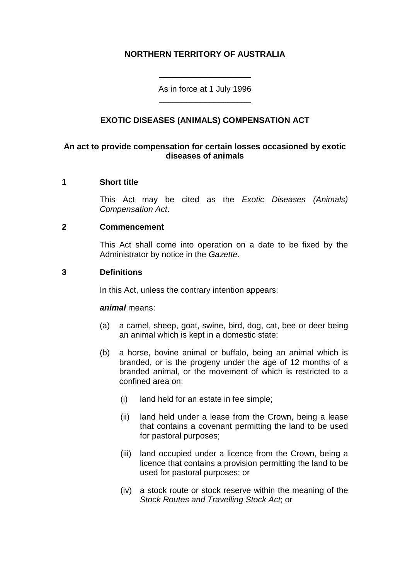# **NORTHERN TERRITORY OF AUSTRALIA**

As in force at 1 July 1996 \_\_\_\_\_\_\_\_\_\_\_\_\_\_\_\_\_\_\_\_

\_\_\_\_\_\_\_\_\_\_\_\_\_\_\_\_\_\_\_\_

## **EXOTIC DISEASES (ANIMALS) COMPENSATION ACT**

## **An act to provide compensation for certain losses occasioned by exotic diseases of animals**

#### **1 Short title**

This Act may be cited as the *Exotic Diseases (Animals) Compensation Act*.

#### **2 Commencement**

This Act shall come into operation on a date to be fixed by the Administrator by notice in the *Gazette*.

#### **3 Definitions**

In this Act, unless the contrary intention appears:

#### *animal* means:

- (a) a camel, sheep, goat, swine, bird, dog, cat, bee or deer being an animal which is kept in a domestic state;
- (b) a horse, bovine animal or buffalo, being an animal which is branded, or is the progeny under the age of 12 months of a branded animal, or the movement of which is restricted to a confined area on:
	- (i) land held for an estate in fee simple;
	- (ii) land held under a lease from the Crown, being a lease that contains a covenant permitting the land to be used for pastoral purposes;
	- (iii) land occupied under a licence from the Crown, being a licence that contains a provision permitting the land to be used for pastoral purposes; or
	- (iv) a stock route or stock reserve within the meaning of the *Stock Routes and Travelling Stock Act*; or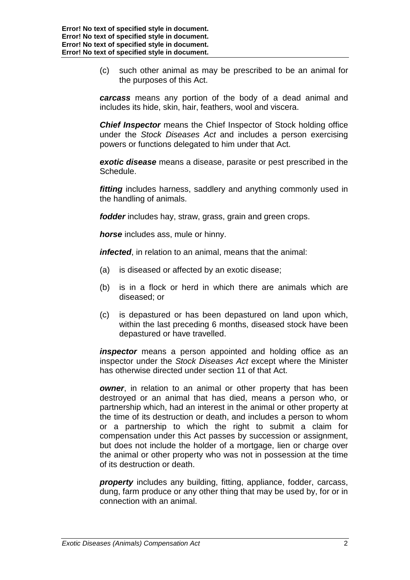(c) such other animal as may be prescribed to be an animal for the purposes of this Act.

*carcass* means any portion of the body of a dead animal and includes its hide, skin, hair, feathers, wool and viscera.

*Chief Inspector* means the Chief Inspector of Stock holding office under the *Stock Diseases Act* and includes a person exercising powers or functions delegated to him under that Act.

*exotic disease* means a disease, parasite or pest prescribed in the Schedule.

*fitting* includes harness, saddlery and anything commonly used in the handling of animals.

*fodder* includes hay, straw, grass, grain and green crops.

*horse* includes ass, mule or hinny.

*infected*, in relation to an animal, means that the animal:

- (a) is diseased or affected by an exotic disease;
- (b) is in a flock or herd in which there are animals which are diseased; or
- (c) is depastured or has been depastured on land upon which, within the last preceding 6 months, diseased stock have been depastured or have travelled.

*inspector* means a person appointed and holding office as an inspector under the *Stock Diseases Act* except where the Minister has otherwise directed under section 11 of that Act.

*owner*, in relation to an animal or other property that has been destroyed or an animal that has died, means a person who, or partnership which, had an interest in the animal or other property at the time of its destruction or death, and includes a person to whom or a partnership to which the right to submit a claim for compensation under this Act passes by succession or assignment, but does not include the holder of a mortgage, lien or charge over the animal or other property who was not in possession at the time of its destruction or death.

*property* includes any building, fitting, appliance, fodder, carcass, dung, farm produce or any other thing that may be used by, for or in connection with an animal.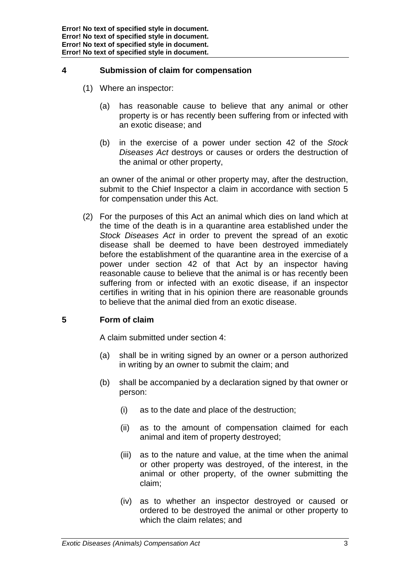## **4 Submission of claim for compensation**

- (1) Where an inspector:
	- (a) has reasonable cause to believe that any animal or other property is or has recently been suffering from or infected with an exotic disease; and
	- (b) in the exercise of a power under section 42 of the *Stock Diseases Act* destroys or causes or orders the destruction of the animal or other property,

an owner of the animal or other property may, after the destruction, submit to the Chief Inspector a claim in accordance with section 5 for compensation under this Act.

(2) For the purposes of this Act an animal which dies on land which at the time of the death is in a quarantine area established under the *Stock Diseases Act* in order to prevent the spread of an exotic disease shall be deemed to have been destroyed immediately before the establishment of the quarantine area in the exercise of a power under section 42 of that Act by an inspector having reasonable cause to believe that the animal is or has recently been suffering from or infected with an exotic disease, if an inspector certifies in writing that in his opinion there are reasonable grounds to believe that the animal died from an exotic disease.

# **5 Form of claim**

A claim submitted under section 4:

- (a) shall be in writing signed by an owner or a person authorized in writing by an owner to submit the claim; and
- (b) shall be accompanied by a declaration signed by that owner or person:
	- (i) as to the date and place of the destruction;
	- (ii) as to the amount of compensation claimed for each animal and item of property destroyed;
	- (iii) as to the nature and value, at the time when the animal or other property was destroyed, of the interest, in the animal or other property, of the owner submitting the claim;
	- (iv) as to whether an inspector destroyed or caused or ordered to be destroyed the animal or other property to which the claim relates; and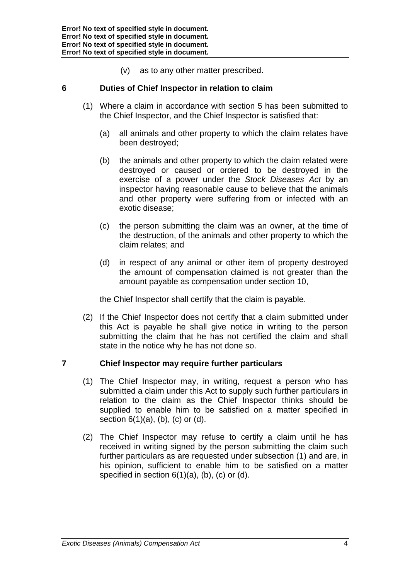(v) as to any other matter prescribed.

## **6 Duties of Chief Inspector in relation to claim**

- (1) Where a claim in accordance with section 5 has been submitted to the Chief Inspector, and the Chief Inspector is satisfied that:
	- (a) all animals and other property to which the claim relates have been destroyed;
	- (b) the animals and other property to which the claim related were destroyed or caused or ordered to be destroyed in the exercise of a power under the *Stock Diseases Act* by an inspector having reasonable cause to believe that the animals and other property were suffering from or infected with an exotic disease;
	- (c) the person submitting the claim was an owner, at the time of the destruction, of the animals and other property to which the claim relates; and
	- (d) in respect of any animal or other item of property destroyed the amount of compensation claimed is not greater than the amount payable as compensation under section 10,

the Chief Inspector shall certify that the claim is payable.

(2) If the Chief Inspector does not certify that a claim submitted under this Act is payable he shall give notice in writing to the person submitting the claim that he has not certified the claim and shall state in the notice why he has not done so.

## **7 Chief Inspector may require further particulars**

- (1) The Chief Inspector may, in writing, request a person who has submitted a claim under this Act to supply such further particulars in relation to the claim as the Chief Inspector thinks should be supplied to enable him to be satisfied on a matter specified in section  $6(1)(a)$ ,  $(b)$ ,  $(c)$  or  $(d)$ .
- (2) The Chief Inspector may refuse to certify a claim until he has received in writing signed by the person submitting the claim such further particulars as are requested under subsection (1) and are, in his opinion, sufficient to enable him to be satisfied on a matter specified in section 6(1)(a), (b), (c) or (d),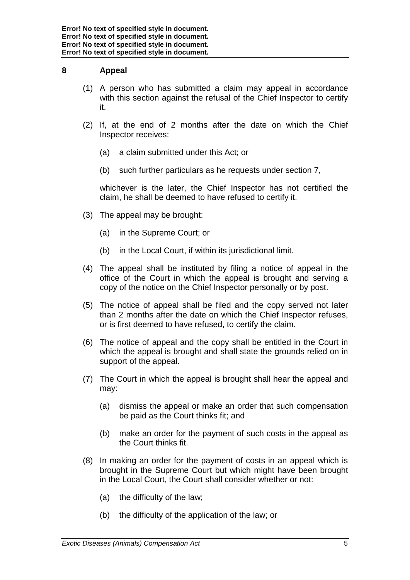## **8 Appeal**

- (1) A person who has submitted a claim may appeal in accordance with this section against the refusal of the Chief Inspector to certify it.
- (2) If, at the end of 2 months after the date on which the Chief Inspector receives:
	- (a) a claim submitted under this Act; or
	- (b) such further particulars as he requests under section 7,

whichever is the later, the Chief Inspector has not certified the claim, he shall be deemed to have refused to certify it.

- (3) The appeal may be brought:
	- (a) in the Supreme Court; or
	- (b) in the Local Court, if within its jurisdictional limit.
- (4) The appeal shall be instituted by filing a notice of appeal in the office of the Court in which the appeal is brought and serving a copy of the notice on the Chief Inspector personally or by post.
- (5) The notice of appeal shall be filed and the copy served not later than 2 months after the date on which the Chief Inspector refuses, or is first deemed to have refused, to certify the claim.
- (6) The notice of appeal and the copy shall be entitled in the Court in which the appeal is brought and shall state the grounds relied on in support of the appeal.
- (7) The Court in which the appeal is brought shall hear the appeal and may:
	- (a) dismiss the appeal or make an order that such compensation be paid as the Court thinks fit; and
	- (b) make an order for the payment of such costs in the appeal as the Court thinks fit.
- (8) In making an order for the payment of costs in an appeal which is brought in the Supreme Court but which might have been brought in the Local Court, the Court shall consider whether or not:
	- (a) the difficulty of the law;
	- (b) the difficulty of the application of the law; or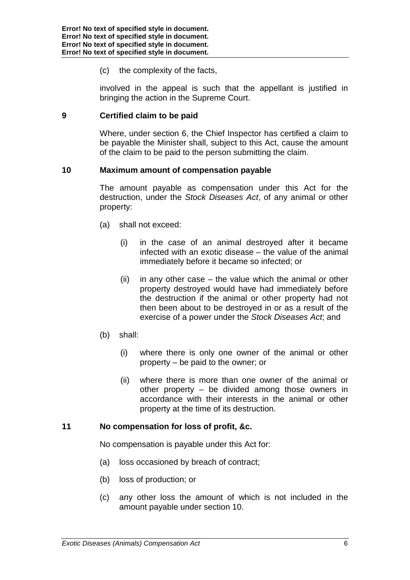(c) the complexity of the facts,

involved in the appeal is such that the appellant is justified in bringing the action in the Supreme Court.

#### **9 Certified claim to be paid**

Where, under section 6, the Chief Inspector has certified a claim to be payable the Minister shall, subject to this Act, cause the amount of the claim to be paid to the person submitting the claim.

#### **10 Maximum amount of compensation payable**

The amount payable as compensation under this Act for the destruction, under the *Stock Diseases Act*, of any animal or other property:

- (a) shall not exceed:
	- (i) in the case of an animal destroyed after it became infected with an exotic disease – the value of the animal immediately before it became so infected; or
	- (ii) in any other case the value which the animal or other property destroyed would have had immediately before the destruction if the animal or other property had not then been about to be destroyed in or as a result of the exercise of a power under the *Stock Diseases Act*; and
- (b) shall:
	- (i) where there is only one owner of the animal or other property – be paid to the owner; or
	- (ii) where there is more than one owner of the animal or other property – be divided among those owners in accordance with their interests in the animal or other property at the time of its destruction.

## **11 No compensation for loss of profit, &c.**

No compensation is payable under this Act for:

- (a) loss occasioned by breach of contract;
- (b) loss of production; or
- (c) any other loss the amount of which is not included in the amount payable under section 10.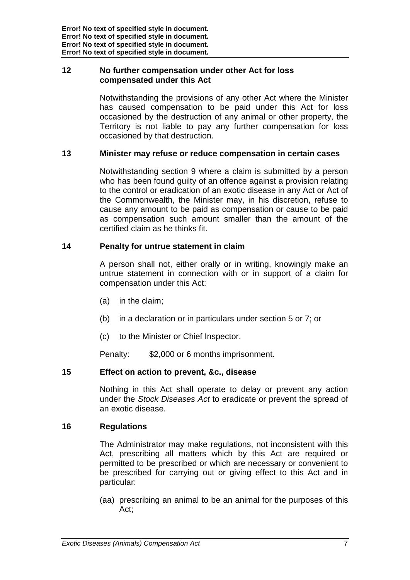## **12 No further compensation under other Act for loss compensated under this Act**

Notwithstanding the provisions of any other Act where the Minister has caused compensation to be paid under this Act for loss occasioned by the destruction of any animal or other property, the Territory is not liable to pay any further compensation for loss occasioned by that destruction.

## **13 Minister may refuse or reduce compensation in certain cases**

Notwithstanding section 9 where a claim is submitted by a person who has been found quilty of an offence against a provision relating to the control or eradication of an exotic disease in any Act or Act of the Commonwealth, the Minister may, in his discretion, refuse to cause any amount to be paid as compensation or cause to be paid as compensation such amount smaller than the amount of the certified claim as he thinks fit.

## **14 Penalty for untrue statement in claim**

A person shall not, either orally or in writing, knowingly make an untrue statement in connection with or in support of a claim for compensation under this Act:

- (a) in the claim;
- (b) in a declaration or in particulars under section 5 or 7; or
- (c) to the Minister or Chief Inspector.

Penalty: \$2,000 or 6 months imprisonment.

#### **15 Effect on action to prevent, &c., disease**

Nothing in this Act shall operate to delay or prevent any action under the *Stock Diseases Act* to eradicate or prevent the spread of an exotic disease.

#### **16 Regulations**

The Administrator may make regulations, not inconsistent with this Act, prescribing all matters which by this Act are required or permitted to be prescribed or which are necessary or convenient to be prescribed for carrying out or giving effect to this Act and in particular:

(aa) prescribing an animal to be an animal for the purposes of this Act;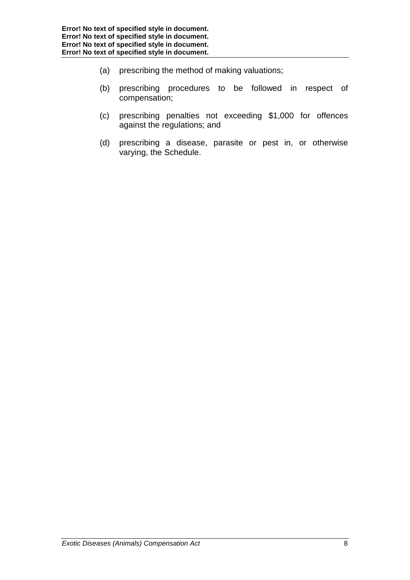- (a) prescribing the method of making valuations;
- (b) prescribing procedures to be followed in respect of compensation;
- (c) prescribing penalties not exceeding \$1,000 for offences against the regulations; and
- (d) prescribing a disease, parasite or pest in, or otherwise varying, the Schedule.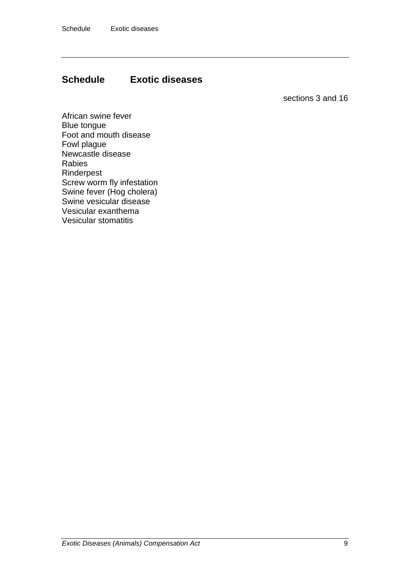# **Schedule Exotic diseases**

sections 3 and 16

African swine fever Blue tongue Foot and mouth disease Fowl plague Newcastle disease Rabies Rinderpest Screw worm fly infestation Swine fever (Hog cholera) Swine vesicular disease Vesicular exanthema Vesicular stomatitis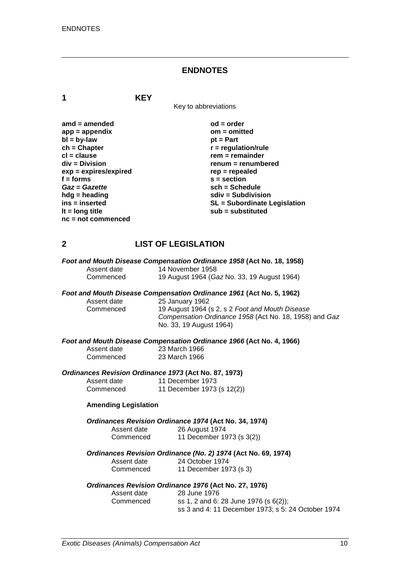#### **ENDNOTES**

**1 KEY**

Key to abbreviations

| $amd = amended$         | $od = order$                        |
|-------------------------|-------------------------------------|
| $app = appendix$        | $om = omitted$                      |
| $bl = by-law$           | $pt = Part$                         |
| $ch = Chapter$          | $r =$ regulation/rule               |
| $cl = clause$           | $rem = remainder$                   |
| $div = Division$        | renum = renumbered                  |
| $exp = expires/expired$ | $rep = repeated$                    |
| $f =$ forms             | $s = section$                       |
| Gaz = Gazette           | $sch = Schedule$                    |
| $h dg =$ heading        | $sdiv = Subdivision$                |
| ins = inserted          | <b>SL = Subordinate Legislation</b> |
| It = $long$ title       | $sub =$ substituted                 |
| $nc = not commenced$    |                                     |

#### **2 LIST OF LEGISLATION**

|             | Foot and Mouth Disease Compensation Ordinance 1958 (Act No. 18, 1958) |
|-------------|-----------------------------------------------------------------------|
| Assent date | 14 November 1958                                                      |
| Commenced   | 19 August 1964 (Gaz No. 33, 19 August 1964)                           |

# *Foot and Mouth Disease Compensation Ordinance 1961* **(Act No. 5, 1962)**

Assent date 25 January 1962<br>Commenced 19 August 1964 ( 19 August 1964 (s 2, s 2 Foot and Mouth Disease *Compensation Ordinance 1958* (Act No. 18, 1958) and *Gaz* No. 33, 19 August 1964)

# *Foot and Mouth Disease Compensation Ordinance 1966* **(Act No. 4, 1966)**

| Assent date | 23 March 1966 |
|-------------|---------------|
| Commenced   | 23 March 1966 |

#### *Ordinances Revision Ordinance 1973* **(Act No. 87, 1973)**

| Assent date | 11 December 1973           |
|-------------|----------------------------|
| Commenced   | 11 December 1973 (s 12(2)) |

#### **Amending Legislation**

#### *Ordinances Revision Ordinance 1974* **(Act No. 34, 1974)**

| Assent date | 26 August 1974            |
|-------------|---------------------------|
| Commenced   | 11 December 1973 (s 3(2)) |

# *Ordinances Revision Ordinance (No. 2) 1974* **(Act No. 69, 1974)**

| Assent date | 24 October 1974 |
|-------------|-----------------|
| Commenced   | 11 December 19  |

#### *Ordinances Revision Ordinance 1976* **(Act No. 27, 1976)**

| Assent date | 28 June 1976                                       |
|-------------|----------------------------------------------------|
| Commenced   | ss 1, 2 and 6: 28 June 1976 (s 6(2));              |
|             | ss 3 and 4: 11 December 1973; s 5: 24 October 1974 |

 $1973$  (s 3)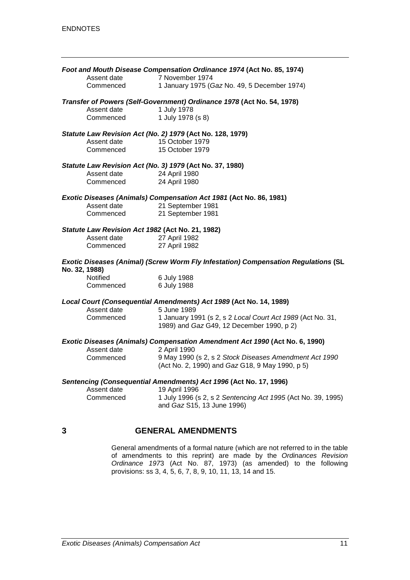|               |                                                  | Foot and Mouth Disease Compensation Ordinance 1974 (Act No. 85, 1974)                                   |
|---------------|--------------------------------------------------|---------------------------------------------------------------------------------------------------------|
|               | Assent date                                      | 7 November 1974                                                                                         |
|               | Commenced                                        | 1 January 1975 (Gaz No. 49, 5 December 1974)                                                            |
|               |                                                  | Transfer of Powers (Self-Government) Ordinance 1978 (Act No. 54, 1978)                                  |
|               | Assent date                                      | 1 July 1978                                                                                             |
|               | Commenced                                        | 1 July 1978 (s 8)                                                                                       |
|               |                                                  | Statute Law Revision Act (No. 2) 1979 (Act No. 128, 1979)                                               |
|               | Assent date                                      | 15 October 1979                                                                                         |
|               | Commenced                                        | 15 October 1979                                                                                         |
|               |                                                  | Statute Law Revision Act (No. 3) 1979 (Act No. 37, 1980)                                                |
|               | Assent date                                      | 24 April 1980                                                                                           |
|               | Commenced                                        | 24 April 1980                                                                                           |
|               |                                                  | Exotic Diseases (Animals) Compensation Act 1981 (Act No. 86, 1981)                                      |
|               | Assent date                                      | 21 September 1981                                                                                       |
|               | Commenced                                        | 21 September 1981                                                                                       |
|               | Statute Law Revision Act 1982 (Act No. 21, 1982) |                                                                                                         |
|               | Assent date                                      | 27 April 1982                                                                                           |
|               | Commenced                                        | 27 April 1982                                                                                           |
| No. 32, 1988) |                                                  | Exotic Diseases (Animal) (Screw Worm Fly Infestation) Compensation Regulations (SL                      |
|               | Notified                                         | 6 July 1988                                                                                             |
|               | Commenced                                        | 6 July 1988                                                                                             |
|               |                                                  | Local Court (Consequential Amendments) Act 1989 (Act No. 14, 1989)                                      |
|               | Assent date                                      | 5 June 1989                                                                                             |
|               | Commenced                                        | 1 January 1991 (s 2, s 2 Local Court Act 1989 (Act No. 31,<br>1989) and Gaz G49, 12 December 1990, p 2) |
|               |                                                  | Exotic Diseases (Animals) Compensation Amendment Act 1990 (Act No. 6, 1990)                             |
|               | Assent date                                      | 2 April 1990                                                                                            |
|               | Commenced                                        | 9 May 1990 (s 2, s 2 Stock Diseases Amendment Act 1990                                                  |
|               |                                                  | (Act No. 2, 1990) and Gaz G18, 9 May 1990, p 5)                                                         |
|               |                                                  | Sentencing (Consequential Amendments) Act 1996 (Act No. 17, 1996)                                       |
|               | Assent date                                      | 19 April 1996                                                                                           |
|               | Commenced                                        | 1 July 1996 (s 2, s 2 Sentencing Act 1995 (Act No. 39, 1995)<br>and Gaz S15, 13 June 1996)              |
|               |                                                  |                                                                                                         |

## **3 GENERAL AMENDMENTS**

General amendments of a formal nature (which are not referred to in the table of amendments to this reprint) are made by the *Ordinances Revision Ordinance 197*3 (Act No. 87, 1973) (as amended) to the following provisions: ss 3, 4, 5, 6, 7, 8, 9, 10, 11, 13, 14 and 15.